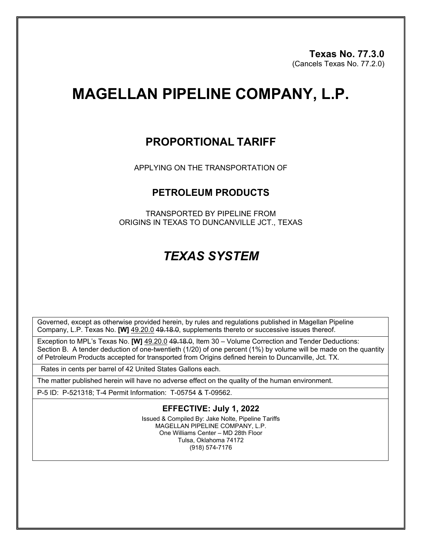# **MAGELLAN PIPELINE COMPANY, L.P.**

### **PROPORTIONAL TARIFF**

APPLYING ON THE TRANSPORTATION OF

#### **PETROLEUM PRODUCTS**

TRANSPORTED BY PIPELINE FROM ORIGINS IN TEXAS TO DUNCANVILLE JCT., TEXAS

## *TEXAS SYSTEM*

Governed, except as otherwise provided herein, by rules and regulations published in Magellan Pipeline Company, L.P. Texas No. **[W]** 49.20.0 49.18.0, supplements thereto or successive issues thereof.

Exception to MPL's Texas No. **[W]** 49.20.0 49.18.0, Item 30 – Volume Correction and Tender Deductions: Section B. A tender deduction of one-twentieth (1/20) of one percent (1%) by volume will be made on the quantity of Petroleum Products accepted for transported from Origins defined herein to Duncanville, Jct. TX.

Rates in cents per barrel of 42 United States Gallons each.

The matter published herein will have no adverse effect on the quality of the human environment.

P-5 ID: P-521318; T-4 Permit Information: T-05754 & T-09562.

#### **EFFECTIVE: July 1, 2022**

Issued & Compiled By: Jake Nolte, Pipeline Tariffs MAGELLAN PIPELINE COMPANY, L.P. One Williams Center – MD 28th Floor Tulsa, Oklahoma 74172 (918) 574-7176